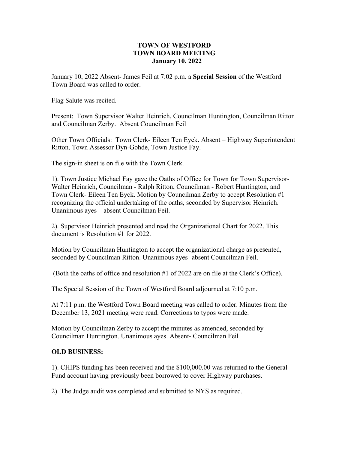### **TOWN OF WESTFORD TOWN BOARD MEETING January 10, 2022**

January 10, 2022 Absent- James Feil at 7:02 p.m. a **Special Session** of the Westford Town Board was called to order.

Flag Salute was recited.

Present: Town Supervisor Walter Heinrich, Councilman Huntington, Councilman Ritton and Councilman Zerby. Absent Councilman Feil

Other Town Officials: Town Clerk- Eileen Ten Eyck. Absent – Highway Superintendent Ritton, Town Assessor Dyn-Gohde, Town Justice Fay.

The sign-in sheet is on file with the Town Clerk.

1). Town Justice Michael Fay gave the Oaths of Office for Town for Town Supervisor-Walter Heinrich, Councilman - Ralph Ritton, Councilman - Robert Huntington, and Town Clerk- Eileen Ten Eyck. Motion by Councilman Zerby to accept Resolution #1 recognizing the official undertaking of the oaths, seconded by Supervisor Heinrich. Unanimous ayes – absent Councilman Feil.

2). Supervisor Heinrich presented and read the Organizational Chart for 2022. This document is Resolution #1 for 2022.

Motion by Councilman Huntington to accept the organizational charge as presented, seconded by Councilman Ritton. Unanimous ayes- absent Councilman Feil.

(Both the oaths of office and resolution #1 of 2022 are on file at the Clerk's Office).

The Special Session of the Town of Westford Board adjourned at 7:10 p.m.

At 7:11 p.m. the Westford Town Board meeting was called to order. Minutes from the December 13, 2021 meeting were read. Corrections to typos were made.

Motion by Councilman Zerby to accept the minutes as amended, seconded by Councilman Huntington. Unanimous ayes. Absent- Councilman Feil

#### **OLD BUSINESS:**

1). CHIPS funding has been received and the \$100,000.00 was returned to the General Fund account having previously been borrowed to cover Highway purchases.

2). The Judge audit was completed and submitted to NYS as required.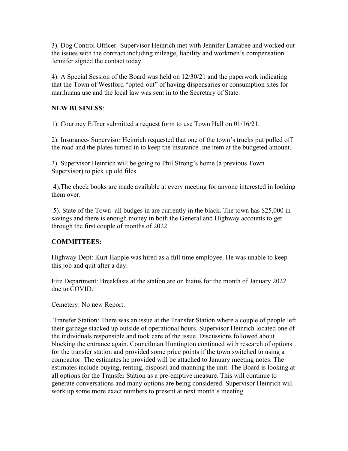3). Dog Control Officer- Supervisor Heinrich met with Jennifer Larrabee and worked out the issues with the contract including mileage, liability and workmen's compensation. Jennifer signed the contact today.

4). A Special Session of the Board was held on 12/30/21 and the paperwork indicating that the Town of Westford "opted-out" of having dispensaries or consumption sites for marihuana use and the local law was sent in to the Secretary of State.

### **NEW BUSINESS**:

1). Courtney Effner submitted a request form to use Town Hall on 01/16/21.

2). Insurance- Supervisor Heinrich requested that one of the town's trucks put pulled off the road and the plates turned in to keep the insurance line item at the budgeted amount.

3). Supervisor Heinrich will be going to Phil Strong's home (a previous Town Supervisor) to pick up old files.

4).The check books are made available at every meeting for anyone interested in looking them over.

5). State of the Town- all budges in are currently in the black. The town has \$25,000 in savings and there is enough money in both the General and Highway accounts to get through the first couple of months of 2022.

# **COMMITTEES:**

Highway Dept: Kurt Happle was hired as a full time employee. He was unable to keep this job and quit after a day.

Fire Department: Breakfasts at the station are on hiatus for the month of January 2022 due to COVID.

Cemetery: No new Report.

Transfer Station: There was an issue at the Transfer Station where a couple of people left their garbage stacked up outside of operational hours. Supervisor Heinrich located one of the individuals responsible and took care of the issue. Discussions followed about blocking the entrance again. Councilman Huntington continued with research of options for the transfer station and provided some price points if the town switched to using a compactor. The estimates he provided will be attached to January meeting notes. The estimates include buying, renting, disposal and manning the unit. The Board is looking at all options for the Transfer Station as a pre-emptive measure. This will continue to generate conversations and many options are being considered. Supervisor Heinrich will work up some more exact numbers to present at next month's meeting.